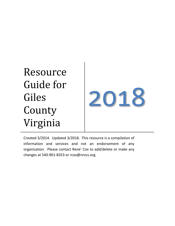Resource Guide for Giles County Virginia



Created 3/2014. Updated 3/2018. This resource is a compilation of information and services and not an endorsement of any organization. Please contact Rene' Cox to add/delete or make any changes at 540-961-8353 or rcox@nrvcs.org.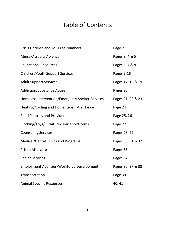# Table of Contents

| <b>Crisis Hotlines and Toll Free Numbers</b>     | Page 2            |
|--------------------------------------------------|-------------------|
| Abuse/Assault/Violence                           | Pages 3, 4 & 5    |
| <b>Educational Resources</b>                     | Pages 6, 7 & 8    |
| <b>Children/Youth Support Services</b>           | Pages 9-16        |
| <b>Adult Support Services</b>                    | Pages 17, 18 & 19 |
| <b>Addiction/Substance Abuse</b>                 | Pages 20          |
| Homeless Intervention/Emergency Shelter Services | Pages 21, 22 & 23 |
| Heating/Cooling and Home Repair Assistance       | Page 24           |
| <b>Food Pantries and Providers</b>               | Page 25, 26       |
| Clothing/Toys/Furniture/Household Items          | Page 27           |
| <b>Counseling Services</b>                       | Pages 28, 29      |
| <b>Medical/Dental Clinics and Programs</b>       | Pages 30, 31 & 32 |
| <b>Prison Aftercare</b>                          | Pages 33          |
| <b>Senior Services</b>                           | Pages 34, 35      |
| <b>Employment Agencies/Workforce Development</b> | Pages 36, 37 & 38 |
| Transportation                                   | Page 39           |
| <b>Animal Specific Resources</b>                 | 40, 41            |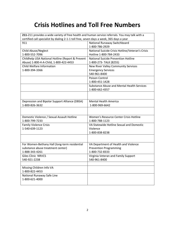# **Crisis Hotlines and Toll Free Numbers**

| 211-211 provides a wide variety of free health and human service referrals. You may talk with a |                                                   |  |
|-------------------------------------------------------------------------------------------------|---------------------------------------------------|--|
| certified call specialist by dialing 2-1-1 toll free, seven days a week, 365 days a year        |                                                   |  |
| 911                                                                                             | National Runaway Switchboard                      |  |
|                                                                                                 | 1-800-786-2929                                    |  |
| Child Abuse/Neglect                                                                             | National Suicide Crisis Hotline/Veteran's Crisis  |  |
| 1-800-552-7096                                                                                  | Hotline 1-800-784-2433                            |  |
| Childhelp USA National Hotline (Report & Prevent                                                | <b>National Suicide Prevention Hotline</b>        |  |
| Abuse) 1-800-4-A-Child, 1-800-422-4453                                                          | 1-800-273- TALK (8255)                            |  |
| Child Welfare Information                                                                       | New River Valley Community Services               |  |
| 1-800-394-3366                                                                                  | <b>Emergency Services</b>                         |  |
|                                                                                                 | 540-961-8400                                      |  |
|                                                                                                 | Poison Control                                    |  |
|                                                                                                 | 1-800-451-1428                                    |  |
|                                                                                                 | <b>Substance Abuse and Mental Health Services</b> |  |
|                                                                                                 | 1-800-662-4357                                    |  |
|                                                                                                 |                                                   |  |
|                                                                                                 |                                                   |  |
| Depression and Bipolar Support Alliance (DBSA)                                                  | <b>Mental Health America</b>                      |  |
| 1-800-826-3632                                                                                  | 1-800-969-6642                                    |  |
|                                                                                                 |                                                   |  |
|                                                                                                 |                                                   |  |
| Domestic Violence / Sexual Assault Hotline                                                      | Women's Resource Center Crisis Hotline            |  |
| 1-800-799-7233                                                                                  | 1-800-788-1123                                    |  |
| <b>Family Violence Crisis</b>                                                                   | VA Statewide Hotline Sexual and Domestic          |  |
| 1-540-639-1123                                                                                  | Violence                                          |  |
|                                                                                                 | 1-800-838-8238                                    |  |
|                                                                                                 |                                                   |  |
|                                                                                                 |                                                   |  |
| For Women-Bethany Hall (long-term residential                                                   | VA Department of Health and Violence              |  |
| substance abuse treatment center)                                                               | <b>Prevention Programming</b>                     |  |
| 1-888-343-4261                                                                                  | 1-800-732-8333                                    |  |
| <b>Giles Clinic NRVCS</b>                                                                       | Virginia Veteran and Family Support               |  |
| 540-921-2238                                                                                    | 540-961-8400                                      |  |
|                                                                                                 |                                                   |  |
| Missing Children Info VA                                                                        |                                                   |  |
| 1-800-822-4453                                                                                  |                                                   |  |
| National Runaway Safe Line                                                                      |                                                   |  |
| 1-800-621-4000                                                                                  |                                                   |  |
|                                                                                                 |                                                   |  |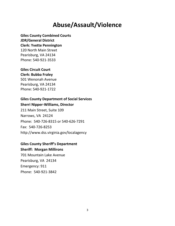# **Abuse/Assault/Violence**

# **Giles County Combined Courts**

#### **JDR/General District**

**Clerk: Yvette Pennington** 120 North Main Street Pearisburg, VA 24134 Phone: 540-921-3533

# **Giles Circuit Court**

**Clerk: Bubba Fraley** 501 Wenonah Avenue Pearisburg, VA 24134

Phone: 540-921-1722

# **Giles County Department of Social Services**

### **Sherri Nipper-Williams, Director**

211 Main Street, Suite 109 Narrows, VA 24124 Phone: 540-726-8315 or 540-626-7291 Fax: 540-726-8253 http://www.dss.virginia.gov/localagency

# **Giles County Sheriff's Department**

## **Sheriff: Morgan Millirons**

701 Mountain Lake Avenue Pearisburg, VA 24134 Emergency: 911 Phone: 540-921-3842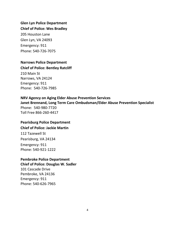# **Glen Lyn Police Department**

#### **Chief of Police: Wes Bradley**

205 Houston Lane Glen Lyn, VA 24093 Emergency: 911 Phone: 540-726-7075

# **Narrows Police Department**

#### **Chief of Police: Bentley Ratcliff**

210 Main St Narrows, VA 24124 Emergency: 911 Phone: 540-726-7985

# **NRV Agency on Aging Elder Abuse Prevention Services**

**Janet Brennand, Long Term Care Ombudsman/Elder Abuse Prevention Specialist** Phone: 540-980-7720 Toll Free 866-260-4417

# **Pearisburg Police Department**

**Chief of Police: Jackie Martin**

112 Tazewell St Pearisburg, VA 24134 Emergency: 911 Phone: 540-921-1222

#### **Pembroke Police Department**

**Chief of Police: Douglas W. Sadler** 101 Cascade Drive Pembroke, VA 24136 Emergency: 911 Phone: 540-626-7965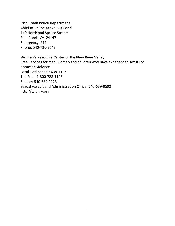# **Rich Creek Police Department Chief of Police: Steve Buckland**

140 North and Spruce Streets Rich Creek, VA 24147 Emergency: 911 Phone: 540-726-3643

# **Women's Resource Center of the New River Valley**

Free Services for men, women and children who have experienced sexual or domestic violence Local Hotline: 540-639-1123 Toll Free: 1-800-788-1123 Shelter: 540-639-1123 Sexual Assault and Administration Office: 540-639-9592 http://wrcnrv.org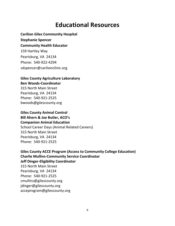# **Educational Resources**

**Carilion Giles Community Hospital Stephanie Spencer Community Health Educator** 159 Hartley Way Pearisburg, VA 24134 Phone: 540-922-4294 sdspencer@carilionclinic.org

# **Giles County Agriculture Laboratory Ben Woods-Coordinator**

315 North Main Street Pearisburg, VA 24134 Phone: 540-921-2525 bwoods@gilescounty.org

# **Giles County Animal Control Bill Ahern & Joe Butler, ACO's Companion Animal Education** School Career Days (Animal Related Careers) 315 North Main Street Pearisburg, VA 24134 Phone: 540-921-2525

**Giles County ACCE Program (Access to Community College Education) Charlie Mullins-Community Service Coordinator Jeff Dinger-Eligibility Coordinator** 315 North Main Street Pearisburg, VA 24134 Phone: 540-921-2525 cmullins@gilescounty.org jdinger@gilescounty.org acceprogram@gilescounty.org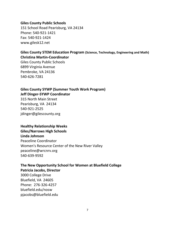#### **Giles County Public Schools**

151 School Road Pearisburg, VA 24134 Phone: 540-921-1421 Fax: 540-921-1424 www.gilesk12.net

#### **Giles County STEM Education Program (Science, Technology, Engineering and Math) Christina Martin-Coordinator**

Giles County Public Schools 6899 Virginia Avenue Pembroke, VA 24136 540-626-7281

# **Giles County SYWP (Summer Youth Work Program) Jeff Dinger-SYWP Coordinator**

315 North Main Street Pearisburg, VA 24134 540-921-2525 jdinger@gilescounty.org

#### **Healthy Relationship Weeks**

**Giles/Narrows High Schools Linda Johnson** Peaceline Coordinator

Women's Resource Center of the New River Valley peaceline@wrcnrv.org 540-639-9592

# **The New Opportunity School for Women at Bluefield College**

**Patricia Jacobs, Director**

3000 College Drive Bluefield, VA 24605 Phone: 276-326-4257 bluefield.edu/nosw pjacobs@bluefield.edu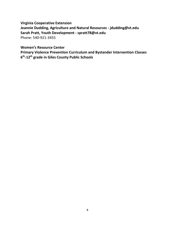**Virginia Cooperative Extension Jeannie Dudding, Agriculture and Natural Resources - jdudding@vt.edu Sarah Pratt, Youth Development - spratt78@vt.edu** Phone: 540-921-3455

**Women's Resource Center**

**Primary Violence Prevention Curriculum and Bystander Intervention Classes 6 th -12th grade in Giles County Public Schools**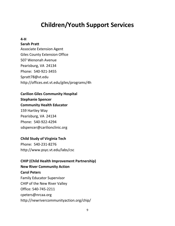# **Children/Youth Support Services**

# **4-H**

### **Sarah Pratt**

Associate Extension Agent Giles County Extension Office 507 Wenonah Avenue Pearisburg, VA 24134 Phone: 540-921-3455 Spratt78@vt.edu http://offices.ext.vt.edu/giles/programs/4h

**Carilion Giles Community Hospital Stephanie Spencer Community Health Educator** 159 Hartley Way Pearisburg, VA 24134 Phone: 540-922-4294 sdspencer@carilionclinic.org

# **Child Study of Virginia Tech**

Phone: 540-231-8276 http://www.psyc.vt.edu/labs/csc

# **CHIP (Child Health Improvement Partnership) New River Community Action Carol Peters** Family Educator Supervisor CHIP of the New River Valley Office: 540-745-2211 cpeters@nrcaa.org http://newrivercommunityaction.org/chip/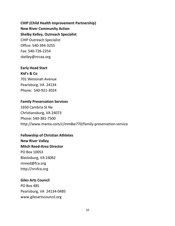**CHIP (Child Health Improvement Partnership) New River Community Action Shelby Kelley, Outreach Specialist** CHIP Outreach Specialist Office: 540-394-3255 Fax: 540-726-2254 skelley@nrcaa.org

# **Early Head Start**

# **Kid's & Co**

701 Wenonah Avenue Pearisburg, VA 24134 Phone: 540-921-3024

### **Family Preservation Services**

1650 Cambria St Ne Christiansburg, VA 24073 Phone: 540-381-7500 http://www.manta.com/c/mm8w770/family-preservation-service

#### **Fellowship of Christian Athletes**

**New River Valley Mitch Reed-Area Director** PO Box 10053 Blacksburg, VA 24062 mreed@fca.org http://nrvfca.org

## **Giles Arts Council**

PO Box 485 Pearisburg, VA 24134-0485 www.gilesartscouncil.org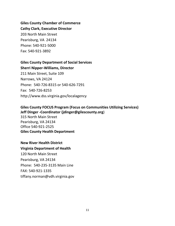**Giles County Chamber of Commerce Cathy Clark, Executive Director** 203 North Main Street Pearisburg, VA 24134 Phone: 540-921-5000 Fax: 540-921-3892

# **Giles County Department of Social Services**

**Sherri Nipper-Williams, Director** 211 Main Street, Suite 109 Narrows, VA 24124 Phone: 540-726-8315 or 540-626-7291 Fax: 540-726-8253 http://www.dss.virginia.gov/localagency

# **Giles County FOCUS Program (Focus on Communities Utilizing Services) Jeff Dinger -Coordinator (jdinger@gilescounty.org**) 315 North Main Street Pearisburg, VA 24134

Office 540-921-2525 **Giles County Health Department**

# **New River Health District**

**Virginia Department of Health** 120 North Main Street Pearisburg, VA 24134 Phone: 540-235-3135 Main Line FAX: 540-921-1335 tiffany.norman@vdh.virginia.gov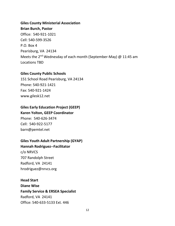# **Giles County Ministerial Association Brian Burch, Pastor** Office: 540-921-1021 Cell: 540-599-3526 P.O. Box 4 Pearisburg, VA 24134 Meets the 2<sup>nd</sup> Wednesday of each month (September-May) @ 11:45 am Locations TBD

### **Giles County Public Schools**

151 School Road Pearisburg, VA 24134 Phone: 540-921-1421 Fax: 540-921-1424 www.gilesk12.net

# **Giles Early Education Project (GEEP)**

# **Karen Yolton, GEEP Coordinator** Phone: 540-626-3474 Cell: 540-922-5177

barn@pemtel.net

# **Giles Youth Adult Partnership (GYAP)**

# **Hannah Rodriguez--Facilitator** c/o NRVCS 707 Randolph Street

Radford, VA 24141 hrodriguez@nrvcs.org

# **Head Start Diane Wise**

# **Family Service & ERSEA Specialist** Radford, VA 24141 Office: 540-633-5133 Ext. 446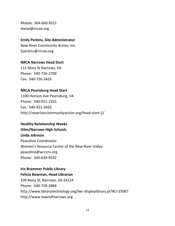Mobile: 304-660-9521 dwise@nrcaa.org

#### **Emily Perkins, Site Administrator**

New River Community Action, Inc. Eperkins@nrcaa.org

## **NRCA Narrows Head Start**

111 Mary St Narrows, VA Phone: 540-726-2700 Fax: 540-726-3426

## **NRCA Pearisburg Head Start**

1100 Henson Ave Pearisburg, VA Phone: 540-921-2355 Fax: 540-921-2435 http://newrivercommunityaction.org/head-start-2/

## **Healthy Relationship Weeks**

**Giles/Narrows High Schools Linda Johnson** Peaceline Coordinator Women's Resource Center of the New River Valley peaceline@wrcnrv.org Phone: 540-639-9592

#### **Iris Brammer Public Library**

#### **Felicia Bowman, Head Librarian**

109 Mary St, Narrows, VA 24124 Phone: 540-726-2884 http://www.librarytechnology.org/lwc-displaylibrary.pl?RC=25067 http://www.townofnarrows.org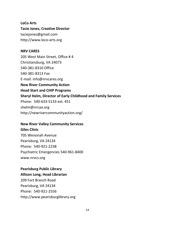**LoCo Arts Tacie Jones, Creative Director** taciejones@gmail.com http://www.loco-arts.org

#### **NRV CARES**

205 West Main Street, Office # 4 Christiansburg, VA 24073 540-381-8310 Office 540-381-8313 Fax E-mail: info@nrvcares.org **New River Community Action Head Start and CHIP Programs Sheryl Helm, Director of Early Childhood and Family Services** Phone: 540-633-5133 ext. 451 shelm@nrcaa.org http://newrivercommunityaction.org/

#### **New River Valley Community Services**

#### **Giles Clinic**

705 Wenonah Avenue Pearisburg, VA 24134 Phone: 540-921-2238 Psychiatric Emergencies 540-961-8400 www.nrvcs.org

#### **Pearisburg Public Library**

#### **Allison Long, Head Librarian**

209 Fort Branch Road Pearisburg, VA 24134 Phone: 540-921-2556 http://www.pearisburglibrary.org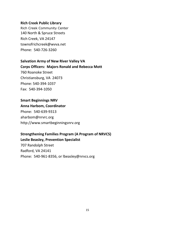#### **Rich Creek Public Library**

Rich Creek Community Center 140 North & Spruce Streets Rich Creek, VA 24147 townofrichcreek@wvva.net Phone: 540-726-3260

# **Salvation Army of New River Valley VA**

**Corps Officers: Majors Ronald and Rebecca Mott**

760 Roanoke Street Christiansburg, VA 24073 Phone: 540-394-1037 Fax: 540-394-1050

### **Smart Beginnings NRV**

#### **Anna Harbom, Coordinator**

Phone: 540-639-9313 aharbom@nrvrc.org http://www.smartbeginningsnrv.org

# **Strengthening Families Program (A Program of NRVCS) Leslie Beasley, Prevention Specialist**

707 Randolph Street Radford, VA 24141 Phone: 540-961-8356, or lbeasley@nrvcs.org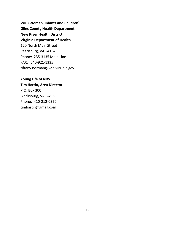**WIC (Women, Infants and Children) Giles County Health Department New River Health District Virginia Department of Health** 120 North Main Street Pearisburg, VA 24134 Phone: 235-3135 Main Line FAX: 540-921-1335 tiffany.norman@vdh.virginia.gov

# **Young Life of NRV**

# **Tim Hartin, Area Director**

P.O. Box 300 Blacksburg, VA 24060 Phone: 410-212-0350 timhartin@gmail.com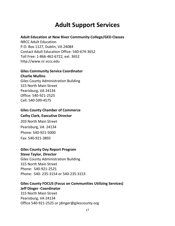# **Adult Support Services**

#### **Adult Education at New River Community College/GED Classes**

NRCC Adult Education P.O. Box 1127, Dublin, VA 24084 Contact Adult Education Office: 540-674-3652 Toll Free: 1-866-462-6722, ext. 3652 http://www.nr.vccs.edu

# **Giles Community Service Coordinator**

#### **Charlie Mullins**

Giles County Administration Building 315 North Main Street Pearisburg, VA 24134 Office: 540-921-2525 Cell: 540-599-4575

# **Giles County Chamber of Commerce Cathy Clark, Executive Director**

203 North Main Street Pearisburg, VA 24134 Phone: 540-921-5000 Fax: 540-921-3892

## **Giles County Day Report Program**

# **Steve Taylor, Director**

Giles County Administration Building 315 North Main Street Phone: 540-921-2525 Phone: 540- 235-3154 or 540-235-3153

# **Giles County FOCUS (Focus on Communities Utilizing Services) Jeff Dinger -Coordinator**

315 North Main Street Pearisburg, VA 24134 Office 540-921-2525 or jdinger@gilescounty.org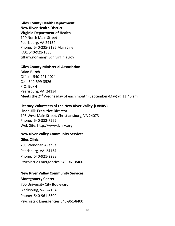**Giles County Health Department New River Health District Virginia Department of Health**

120 North Main Street Pearisburg, VA 24134 Phone: 540-235-3135 Main Line FAX: 540-921-1335 tiffany.norman@vdh.virginia.gov

# **Giles County Ministerial Association**

**Brian Burch** Office: 540-921-1021 Cell: 540-599-3526 P.O. Box 4 Pearisburg, VA 24134 Meets the 2<sup>nd</sup> Wednesday of each month (September-May) @ 11:45 am

# **Literacy Volunteers of the New River Valley-(LVNRV)**

**Linda Jilk-Executive Director**

195 West Main Street, Christiansburg, VA 24073 Phone: 540-382-7262 Web Site: http://www.lvnrv.org

#### **New River Valley Community Services**

**Giles Clinic**

705 Wenonah Avenue Pearisburg, VA 24134 Phone: 540-921-2238 Psychiatric Emergencies 540-961-8400

### **New River Valley Community Services**

**Montgomery Center** 700 University City Boulevard Blacksburg, VA 24134 Phone: 540-961-8300 Psychiatric Emergencies 540-961-8400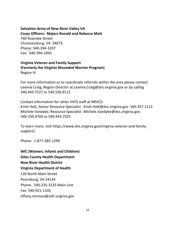# **Salvation Army of New River Valley VA**

**Corps Officers: Majors Ronald and Rebecca Mott** 760 Roanoke Street Christiansburg, VA 24073 Phone: 540-394-1037 Fax: 540-394-1050

## **Virginia Veteran and Family Support (Formerly the Virginia Wounded Warrior Program)** Region III

For more information or to coordinate referrals within the area please contact Leanna Craig, Region Director at Leanna.Craig@dvs.virginia.gov or by calling 540.443.7527 or 540.556.9112

Contact information for other VVFS staff at NRVCS:

Kristi Holt, Senior Resource Specialist Kristi.Holt@dvs.virginia.gov 540.357.1113 Michele Vandyke, Resource Specialist Michele.Vandyke@dvs.virginia.gov 540-250.0769 or 540.443.7525

To learn more, visit https://www.dvs.virginia.gov/virginia-veteran-and-familysupport/.

Phone: 1-877-285-1299

**WIC (Women, Infants and Children) Giles County Health Department New River Health District Virginia Department of Health** 120 North Main Street Pearisburg, VA 24134 Phone: 540-235-3135 Main Line Fax: 540-921-1335 tiffany.norman@vdh.virginia.gov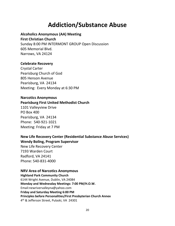# **Addiction/Substance Abuse**

## **Alcoholics Anonymous (AA) Meeting**

#### **First Christian Church**

Sunday 8:00 PM INTERMONT GROUP Open Discussion 605 Memorial Blvd. Narrows, VA 24124

## **Celebrate Recovery**

Crystal Carter Pearisburg Church of God 805 Henson Avenue Pearisburg, VA 24134 Meeting: Every Monday at 6:30 PM

### **Narcotics Anonymous**

### **Pearisburg First United Methodist Church**

1101 Valleyview Drive PO Box 400 Pearisburg, VA 24134 Phone: 540-921-1021 Meeting: Friday at 7 PM

**New Life Recovery Center (Residential Substance Abuse Services) Wendy Boling, Program Supervisor**

New Life Recovery Center 7193 Warden Court Radford, VA 24141 Phone: 540-831-4000

#### **NRV Area of Narcotics Anonymous**

**Highland Park Community Church** 6144 Wright Avenue, Dublin, VA 24084 **Monday and Wednesday Meetings: 7:00 PM/H.O.W.** Email:newrivervalleyna@yahoo.com **Friday and Saturday Meeting 6:00 PM Principles before Personalities/First Presbyterian Church Annex** 4 th & Jefferson Street, Pulaski, VA 24301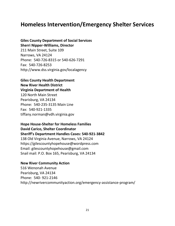# **Homeless Intervention/Emergency Shelter Services**

# **Giles County Department of Social Services Sherri Nipper-Williams, Director**

211 Main Street, Suite 109 Narrows, VA 24124 Phone: 540-726-8315 or 540-626-7291 Fax: 540-726-8253 http://www.dss.virginia.gov/localagency

# **Giles County Health Department New River Health District Virginia Department of Health**

120 North Main Street Pearisburg, VA 24134 Phone: 540-235-3135 Main Line Fax: 540-921-1335 tiffany.norman@vdh.virginia.gov

#### **Hope House-Shelter for Homeless Families David Carico, Shelter Coordinator**

**Sheriff's Department Handles Cases: 540-921-3842** 138 Old Virginia Avenue, Narrows, VA 24124 https://gilescountyhopehouse@wordpress.com Email: gilescountyhopehouse@gmail.com Snail mail: P.O. Box 165, Pearisburg, VA 24134

#### **New River Community Action**

516 Wenonah Avenue Pearisburg, VA 24134 Phone: 540- 921-2146 http://newrivercommunityaction.org/emergency-assistance-program/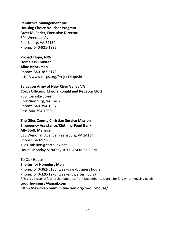**Pembroke Management Inc. Housing Choice Voucher Program Brett M. Rader, Executive Director** 504 Wenonah Avenue Pearisburg, VA 24134 Phone: 540-921-1392

**Project Hope, NRV Homeless Children Aline Brinckman** Phone: 540-382-5170 http://www.mcps.org/ProjectHope.html

### **Salvation Army of New River Valley VA Corps Officers: Majors Ronald and Rebecca Mott**

760 Roanoke Street Christiansburg, VA 24073 Phone: 540-394-1037 Fax: 540-394-1050

## **The Giles County Christian Service Mission Emergency Assistance/Clothing-Food Bank Ally Stull, Manager**

516 Wenonah Avenue, Pearisburg, VA 24134 Phone: 540-921-3006 giles\_mission@earthlink.net Hours: Monday-Saturday 10:00 AM to 2:00 PM

## **To Our House**

#### **Shelter for Homeless Men**

Phone: 540-382-6186 (weekdays/business hours) Phone: 540-320-1273 (weekends/after hours) \*This is a seasonal facility that operates from November to March for fall/winter housing needs **toourhousenrv@gmail.com http://newrivercommunityaction.org/to-our-house/**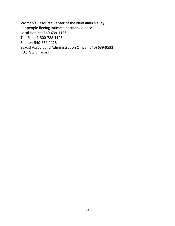### **Women's Resource Center of the New River Valley**

For people fleeing intimate partner violence Local Hotline: 540-639-1123 Toll Free: 1-800-788-1123 Shelter: 540-639-1123 Sexual Assault and Administration Office: (540) 639-9592 http://wrcnrv.org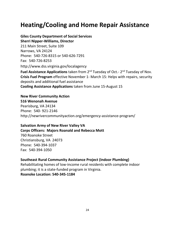# **Heating/Cooling and Home Repair Assistance**

# **Giles County Department of Social Services**

**Sherri Nipper-Williams, Director** 211 Main Street, Suite 109 Narrows, VA 24124 Phone: 540-726-8315 or 540-626-7291 Fax: 540-726-8253 http://www.dss.virginia.gov/localagency

Fuel Assistance Applications taken from 2<sup>nd</sup> Tuesday of Oct.- 2<sup>nd</sup> Tuesday of Nov. **Crisis Fuel Program** effective November 1- March 15: Helps with repairs, security deposits and additional fuel assistance **Cooling Assistance Applications** taken from June 15-August 15

#### **New River Community Action**

**516 Wenonah Avenue** Pearisburg, VA 24134 Phone: 540- 921-2146 http://newrivercommunityaction.org/emergency-assistance-program/

#### **Salvation Army of New River Valley VA Corps Officers: Majors Roanald and Rebecca Mott**

760 Roanoke Street Christiansburg, VA 24073 Phone: 540-394-1037 Fax: 540-394-1050

## **Southeast Rural Community Assistance Project (Indoor Plumbing)**

Rehabilitating homes of low-income rural residents with complete indoor plumbing; it is a state-funded program in Virginia.

**Roanoke Location: 540-345-1184**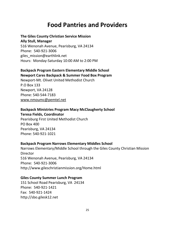# **Food Pantries and Providers**

## **The Giles County Christian Service Mission**

**Ally Stull, Manager** 516 Wenonah Avenue, Pearisburg, VA 24134

Phone: 540-921-3006 giles\_mission@earthlink.net Hours: Monday-Saturday 10:00 AM to 2:00 PM

#### **Backpack Program Eastern Elementary Middle School Newport Cares Backpack & Summer Food Box Program**

Newport-Mt. Olivet United Methodist Church P.O Box 133 Newport, VA 24128 Phone: 540-544-7183 www[.nmoumc@pemtel.net](mailto:nmoumc@pemtel.net)

### **Backpack Ministries Program Macy McClaugherty School Teresa Fields, Coordinator**

Pearisburg First United Methodist Church PO Box 400 Pearisburg, VA 24134 Phone: 540-921-1021

# **Backpack Program Narrows Elementary Middles School**

Narrows Elementary/Middle School through the Giles County Christian Mission **Director** 516 Wenonah Avenue, Pearisburg, VA 24134 Phone: 540-921-3006 http://www.gileschristianmission.org/Home.html

## **Giles County Summer Lunch Program**

151 School Road Pearisburg, VA 24134 Phone: 540-921-1421 Fax: 540-921-1424 http://sbo.gilesk12.net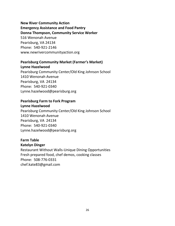# **New River Community Action Emergency Assistance and Food Pantry Donna Thompson, Community Service Worker** 516 Wenonah Avenue Pearisburg, VA 24134 Phone: 540-921-2146

www.newrivercommunityaction.org

# **Pearisburg Community Market (Farmer's Market)**

### **Lynne Hazelwood**

Pearisburg Community Center/Old King Johnson School 1410 Wenonah Avenue Pearisburg, VA 24134 Phone: 540-921-0340 Lynne.hazelwood@pearisburg.org

# **Pearisburg Farm to Fork Program**

#### **Lynne Hazelwood**

Pearisburg Community Center/Old King Johnson School 1410 Wenonah Avenue Pearisburg, VA 24134 Phone: 540-921-0340 Lynne.hazelwood@pearisburg.org

### **Farm Table Katelyn Dinger**

Restaurant Without Walls-Unique Dining Opportunities Fresh prepared food, chef demos, cooking classes Phone: 508-776-0331 chef.kate83@gmail.com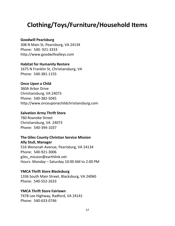# **Clothing/Toys/Furniture/Household Items**

# **Goodwill Pearisburg**

308 N Main St, Pearisburg, VA 24134 Phone: 540- 921-3333 http://www.goodwillvalleys.com

#### **Habitat for Humanity Restore**

1675 N Franklin St, Christiansburg, VA Phone: 540-381-1155

#### **Once Upon a Child**

360A Arbor Drive Christiansburg, VA 24073 Phone: 540-382-5045 http://www.onceuponachildchristiansburg.com

#### **Salvation Army Thrift Store**

760 Roanoke Street Christiansburg, VA 24073 Phone: 540-394-1037

#### **The Giles County Christian Service Mission**

**Ally Stull, Manager** 516 Wenonah Avenue, Pearisburg, VA 24134 Phone: 540-921-3006 giles\_mission@earthlink.net Hours: Monday – Saturday 10:00 AM to 2:00 PM

# **YMCA Thrift Store Blacksburg**

1336 South Main Street, Blacksburg, VA 24060 Phone: 540-552-2633

#### **YMCA Thrift Store Fairlawn**

7478 Lee Highway, Radford, VA 24141 Phone: 540-633-0746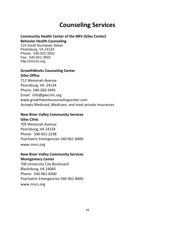# **Counseling Services**

### **Community Health Center of the NRV (Giles Center)**

#### **Behavior Health Counseling**

219 South Buchanan Street Pearisburg, VA 24134 Phone: 540-921-3502 Fax: 540-921-3503 http://chcnrv.org

#### **GrowthWorks Counseling Center Giles Office**

712 Wenonah Avenue Pearisburg, VA 24134 Phone: 540-260-3445 Email: info@gwccinc.org www.growthworkscounselingcenter.com Accepts Medicaid, Medicare, and most private insurances

#### **New River Valley Community Services**

**Giles Clinic** 705 Wenonah Avenue Pearisburg, VA 24134 Phone: 540-921-2238 Psychiatric Emergencies 540-961-8400 www.nrvcs.org

# **New River Valley Community Services**

#### **Montgomery Center**

700 University City Boulevard Blacksburg, VA 24060 Phone: 540-961-8300 Psychiatric Emergencies 540-961-8400 www.nrvcs.org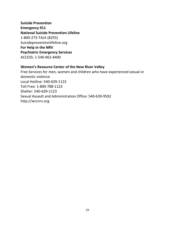**Suicide Prevention Emergency 911 National Suicide Prevention Lifeline** 1-800-273-TALK (8255) Suicidepreventionlifeline.org **For Help in the NRV Psychiatric Emergency Services** ACCESS: 1-540-961-8400

#### **Women's Resource Center of the New River Valley**

Free Services for men, women and children who have experienced sexual or domestic violence Local Hotline: 540-639-1123 Toll Free: 1-800-788-1123 Shelter: 540-639-1123 Sexual Assault and Administration Office: 540-639-9592 http://wrcnrv.org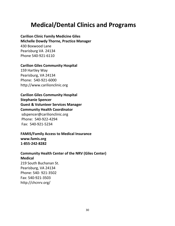# **Medical/Dental Clinics and Programs**

**Carilion Clinic Family Medicine Giles Michelle Dowdy Thorne, Practice Manager** 430 Boxwood Lane Pearisburg VA 24134 Phone 540-921-6110

#### **Carilion Giles Community Hospital**

159 Hartley Way Pearisburg, VA 24134 Phone: 540-921-6000 http://www.carilionclinic.org

**Carilion Giles Community Hospital Stephanie Spencer Guest & Volunteer Services Manager Community Health Coordinator** [sdspencer@carilionclinic.org](mailto:sdspencer@carilionclinic.org) Phone: 540-922-4294 Fax: 540-921-5234

**FAMIS/Family Access to Medical Insurance www.famis.org 1-855-242-8282**

# **Community Health Center of the NRV (Giles Center) Medical**

219 South Buchanan St. Pearisburg, VA 24134 Phone: 540- 921-3502 Fax: 540-921-3503 http://chcnrv.org/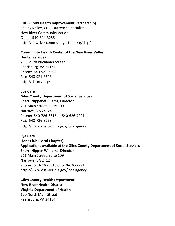#### **CHIP (Child Health Improvement Partnership)**

Shelby Kelley, CHIP Outreach Specialist New River Community Action Office: 540-394-3255 http://newrivercommunityaction.org/chip/

# **Community Health Center of the New River Valley**

**Dental Services**

219 South Buchanan Street Pearisburg, VA 24134 Phone: 540-921-3502 Fax: 540-921-3503 http://chcnrv.org/

## **Eye Care**

# **Giles County Department of Social Services Sherri Nipper-Williams, Director**

211 Main Street, Suite 109 Narrows, VA 24124 Phone: 540-726-8315 or 540-626-7291 Fax: 540-726-8253 http://www.dss.virginia.gov/localagency

## **Eye Care**

**Lions Club (Local Chapter) Applications available at the Giles County Department of Social Services Sherri Nipper-Williams, Director** 211 Main Street, Suite 109 Narrows, VA 24124 Phone: 540-726-8315 or 540-626-7291 http://www.dss.virginia.gov/localagency

**Giles County Health Department New River Health District Virginia Department of Health** 120 North Main Street Pearisburg, VA 24134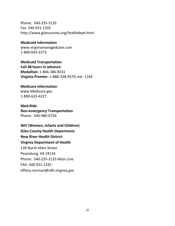Phone: 540-235-3135 Fax: 540-921-1335 http://www.gilescounty.org/healthdept.html

**Medicaid Information** www.virginiamanagedcare.com 1-800-643-2273

**Medicaid Transportation Call 48 hours in advance Medallion:** 1-866-386-8331 **Virginia Premier:** 1-888-338-4579, ext. 1164

### **Medicare Information** www.Medicare.gov

1-800-633-4227

# **Med-Ride**

**Non-emergency Transportation** Phone: 540-980-0754

**WIC (Women, Infants and Children) Giles County Health Department New River Health District Virginia Department of Health** 120 North Main Street Pearisburg, VA 24134 Phone: 540-235-3135 Main Line FAX: 540-921-1335 tiffany.norman@vdh.virginia.gov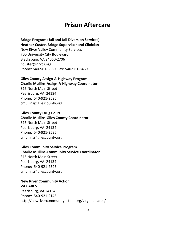# **Prison Aftercare**

# **Bridge Program (Jail and Jail Diversion Services)**

**Heather Custer, Bridge Supervisor and Clinician**

New River Valley Community Services 700 University City Boulevard Blacksburg, VA 24060-2706 hcuster@nrvcs.org Phone: 540-961-8380, Fax: 540-961-8469

#### **Giles County Assign-A-Highway Program Charlie Mullins-Assign-A-Highway Coordinator**

315 North Main Street Pearisburg, VA 24134 Phone: 540-921-2525 cmullins@gilescounty.org

#### **Giles County Drug Court**

# **Charlie Mullins-Giles County Coordinator** 315 North Main Street Pearisburg, VA 24134 Phone: 540-921-2525

cmullins@gilescounty.org

## **Giles Community Service Program**

#### **Charlie Mullins-Community Service Coordinator**

315 North Main Street Pearisburg, VA 24134 Phone: 540-921-2525 cmullins@gilescounty.org

# **New River Community Action**

### **VA CARES**

Pearisburg, VA 24134 Phone: 540-921-2146 http://newrivercommunityaction.org/virginia-cares/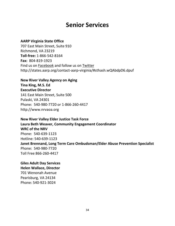# **Senior Services**

#### **AARP Virginia State Office**

707 East Main Street, Suite 910 Richmond, VA 23219 **Toll-free:** 1-866-542-8164 **Fax:** 804-819-1923 Find us on [Facebook](http://www.facebook.com/aarpvirginia) and follow us on [Twitter](http://www.twitter.com/aarpva) http://states.aarp.org/contact-aarp-virginia/#sthash.wQAbdpD6.dpuf

# **New River Valley Agency on Aging**

**Tina King, M.S. Ed Executive Director** 141 East Main Street, Suite 500 Pulaski, VA 24301 Phone: 540-980-7720 or 1-866-260-4417 http://www.nrvaoa.org

**New River Valley Elder Justice Task Force Laura Beth Weaver, Community Engagement Coordinator WRC of the NRV** Phone: 540-639-1123 Hotline: 540-639-1123 **Janet Brennand, Long Term Care Ombudsman/Elder Abuse Prevention Specialist** Phone: 540-980-7720 Toll Free 866-260-4417

# **Giles Adult Day Services**

**Helen Wallace, Director** 701 Wenonah Avenue Pearisburg, VA 24134 Phone: 540-921-3024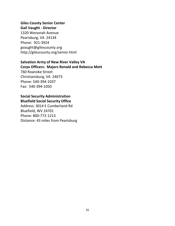# **Giles County Senior Center**

# **Gail Vaught - Director**

1320 Wenonah Avenue Pearisburg, VA 24134 Phone: 921-3924 gvaught@gilescounty.org http://gilescounty.org/senior.html

## **Salvation Army of New River Valley VA**

**Corps Officers: Majors Ronald and Rebecca Mott**

760 Roanoke Street Christiansburg, VA 24073 Phone: 540-394-1037 Fax: 540-394-1050

# **Social Security Administration Bluefield Social Security Office**

Address: 3014 E Cumberland Rd Bluefield, WV 24701 Phone: 800-772-1213 Distance: 43 miles from Pearisburg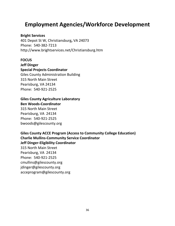# **Employment Agencies/Workforce Development**

**Bright Services**

401 Depot St W, Christiansburg**,** VA 24073 Phone: 540-382-7213 http://www.brightservices.net/Christiansburg.htm

**FOCUS Jeff Dinger Special Projects Coordinator** Giles County Administration Building 315 North Main Street Pearisburg, VA 24134 Phone: 540-921-2525

#### **Giles County Agriculture Laboratory Ben Woods-Coordinator**

315 North Main Street Pearisburg, VA 24134 Phone: 540-921-2525 bwoods@gilescounty.org

**Giles County ACCE Program (Access to Community College Education) Charlie Mullins-Community Service Coordinator Jeff Dinger-Eligibility Coordinator** 315 North Main Street Pearisburg, VA 24134 Phone: 540-921-2525 cmullins@gilescounty.org jdinger@gilescounty.org acceprogram@gilescounty.org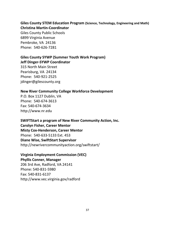**Giles County STEM Education Program (Science, Technology, Engineering and Math) Christina Martin-Coordinator**

Giles County Public Schools 6899 Virginia Avenue Pembroke, VA 24136 Phone: 540-626-7281

# **Giles County SYWP (Summer Youth Work Program) Jeff Dinger-SYWP Coordinator**

315 North Main Street Pearisburg, VA 24134 Phone: 540-921-2525 jdinger@gilescounty.org

## **New River Community College Workforce Development**

P.O. Box 1127 Dublin, VA Phone: 540-674-3613 Fax: 540-674-3634 http://www.nr.edu

**SWIFTStart a program of New River Community Action, Inc. Carolyn Fisher, Career Mentor Misty Cox-Henderson, Career Mentor** Phone: 540-633-5133 Ext. 453 **Diane Wise, SwiftStart Supervisor** http://newrivercommunityaction.org/swiftstart/

**Virginia Employment Commission (VEC)**

**Phyllis Conner, Manager** 206 3rd Ave, Radford, VA 24141 Phone: 540-831-5980 Fax: 540-831-6137 http://www.vec.virginia.gov/radford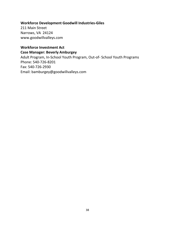### **Workforce Development Goodwill Industries-Giles**

211 Main Street Narrows, VA 24124 www.goodwillvalleys.com

# **Workforce Investment Act Case Manager: Beverly Amburgey**

Adult Program, In-School Youth Program, Out-of- School Youth Programs Phone: 540-726-8201 Fax: 540-726-2930 Email: bamburgey@goodwillvalleys.com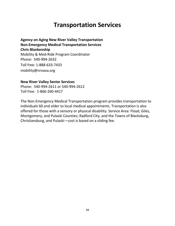# **Transportation Services**

**Agency on Aging New River Valley Transportation Non-Emergency Medical Transportation Services Chris Blankenship** Mobility & Med-Ride Program Coordinator Phone: 540-994-2632 Toll free: 1-888-633-7433 mobility@nrvaoa.org

#### **New River Valley Senior Services**

Phone: 540-994-2611 or 540-994-2612 Toll free: 1-866-260-4417

The Non-Emergency Medical Transportation program provides transportation to individuals 60 and older to local medical appointments. Transportation is also offered for those with a sensory or physical disability. Service Area: Floyd, Giles, Montgomery, and Pulaski Counties; Radford City; and the Towns of Blacksburg, Christiansburg, and Pulaski—cost is based on a sliding fee.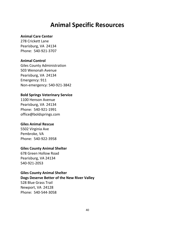# **Animal Specific Resources**

### **Animal Care Center**

278 Crickett Lane Pearisburg, VA 24134 Phone: 540-921-3707

#### **Animal Control**

Giles County Administration 503 Wenonah Avenue Pearisburg, VA 24134 Emergency: 911 Non-emergency: 540-921-3842

#### **Bold Springs Veterinary Service**

1100 Henson Avenue Pearisburg, VA 24134 Phone: 540-921-1991 office@boldsprings.com

#### **Giles Animal Rescue**

5502 Virginia Ave Pembroke, VA Phone: 540-922-3958

#### **Giles County Animal Shelter**

678 Green Hollow Road Pearisburg, VA 24134 540-921-2053

#### **Giles County Animal Shelter**

**Dogs Deserve Better of the New River Valley** 528 Blue Grass Trail Newport, VA 24128 Phone: 540-544-3058